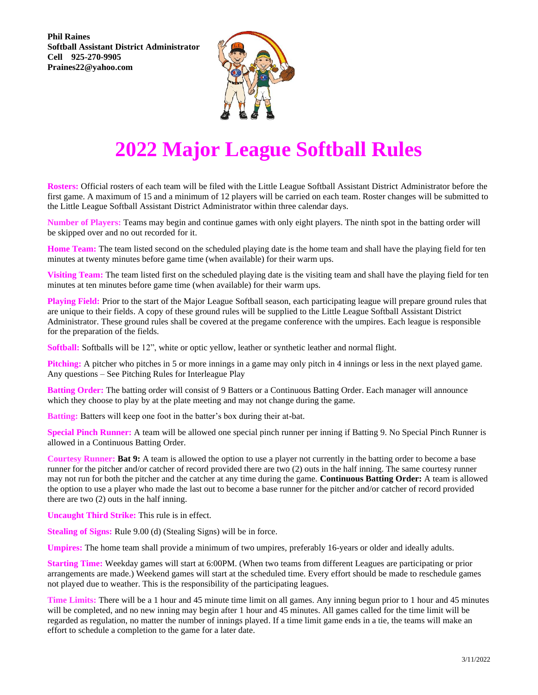**Phil Raines Softball Assistant District Administrator Cell 925-270-9905 Praines22@yahoo.com**



## **2022 Major League Softball Rules**

**Rosters:** Official rosters of each team will be filed with the Little League Softball Assistant District Administrator before the first game. A maximum of 15 and a minimum of 12 players will be carried on each team. Roster changes will be submitted to the Little League Softball Assistant District Administrator within three calendar days.

**Number of Players:** Teams may begin and continue games with only eight players. The ninth spot in the batting order will be skipped over and no out recorded for it.

**Home Team:** The team listed second on the scheduled playing date is the home team and shall have the playing field for ten minutes at twenty minutes before game time (when available) for their warm ups.

**Visiting Team:** The team listed first on the scheduled playing date is the visiting team and shall have the playing field for ten minutes at ten minutes before game time (when available) for their warm ups.

**Playing Field:** Prior to the start of the Major League Softball season, each participating league will prepare ground rules that are unique to their fields. A copy of these ground rules will be supplied to the Little League Softball Assistant District Administrator. These ground rules shall be covered at the pregame conference with the umpires. Each league is responsible for the preparation of the fields.

**Softball:** Softballs will be 12", white or optic yellow, leather or synthetic leather and normal flight.

**Pitching:** A pitcher who pitches in 5 or more innings in a game may only pitch in 4 innings or less in the next played game. Any questions – See Pitching Rules for Interleague Play

**Batting Order:** The batting order will consist of 9 Batters or a Continuous Batting Order. Each manager will announce which they choose to play by at the plate meeting and may not change during the game.

**Batting:** Batters will keep one foot in the batter's box during their at-bat.

**Special Pinch Runner:** A team will be allowed one special pinch runner per inning if Batting 9. No Special Pinch Runner is allowed in a Continuous Batting Order.

**Courtesy Runner: Bat 9:** A team is allowed the option to use a player not currently in the batting order to become a base runner for the pitcher and/or catcher of record provided there are two (2) outs in the half inning. The same courtesy runner may not run for both the pitcher and the catcher at any time during the game. **Continuous Batting Order:** A team is allowed the option to use a player who made the last out to become a base runner for the pitcher and/or catcher of record provided there are two (2) outs in the half inning.

**Uncaught Third Strike:** This rule is in effect.

**Stealing of Signs:** Rule 9.00 (d) (Stealing Signs) will be in force.

**Umpires:** The home team shall provide a minimum of two umpires, preferably 16-years or older and ideally adults.

**Starting Time:** Weekday games will start at 6:00PM. (When two teams from different Leagues are participating or prior arrangements are made.) Weekend games will start at the scheduled time. Every effort should be made to reschedule games not played due to weather. This is the responsibility of the participating leagues.

**Time Limits:** There will be a 1 hour and 45 minute time limit on all games. Any inning begun prior to 1 hour and 45 minutes will be completed, and no new inning may begin after 1 hour and 45 minutes. All games called for the time limit will be regarded as regulation, no matter the number of innings played. If a time limit game ends in a tie, the teams will make an effort to schedule a completion to the game for a later date.